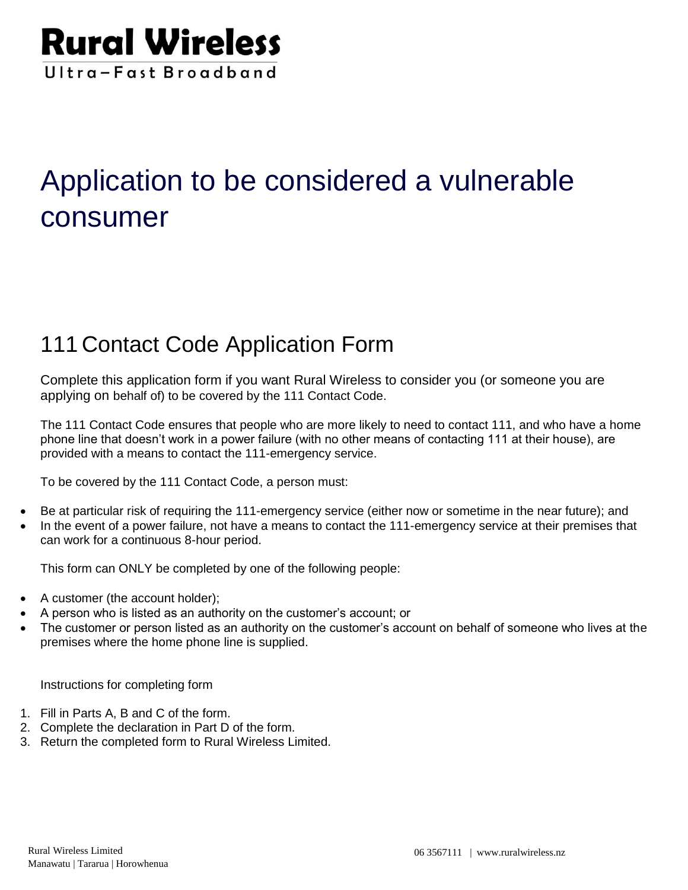

# Application to be considered a vulnerable consumer

## 111 Contact Code Application Form

Complete this application form if you want Rural Wireless to consider you (or someone you are applying on behalf of) to be covered by the 111 Contact Code.

The 111 Contact Code ensures that people who are more likely to need to contact 111, and who have a home phone line that doesn't work in a power failure (with no other means of contacting 111 at their house), are provided with a means to contact the 111-emergency service.

To be covered by the 111 Contact Code, a person must:

- Be at particular risk of requiring the 111-emergency service (either now or sometime in the near future); and
- In the event of a power failure, not have a means to contact the 111-emergency service at their premises that can work for a continuous 8-hour period.

This form can ONLY be completed by one of the following people:

- A customer (the account holder);
- A person who is listed as an authority on the customer's account; or
- The customer or person listed as an authority on the customer's account on behalf of someone who lives at the premises where the home phone line is supplied.

Instructions for completing form

- 1. Fill in Parts A, B and C of the form.
- 2. Complete the declaration in Part D of the form.
- 3. Return the completed form to Rural Wireless Limited.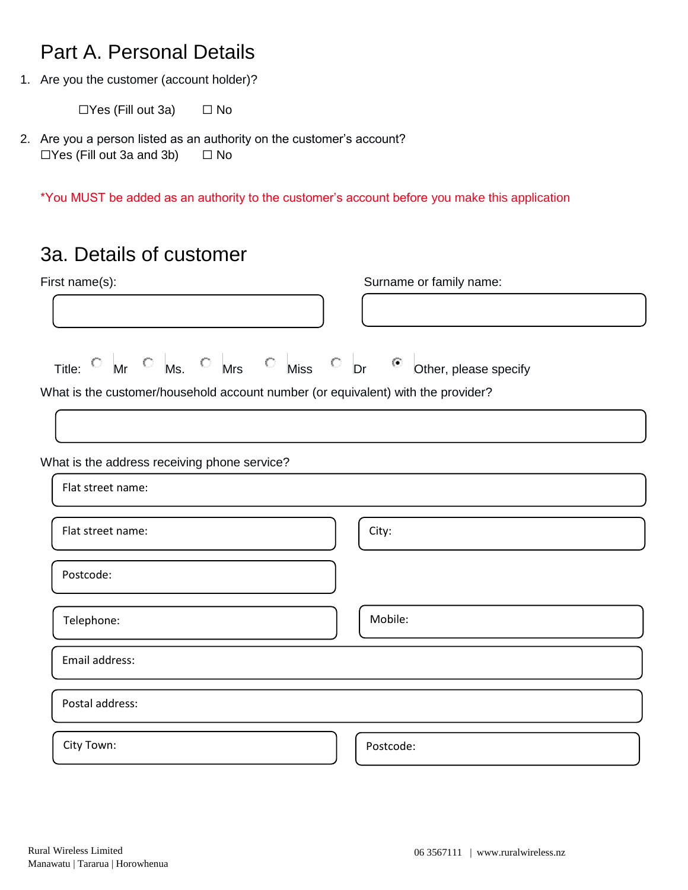### Part A. Personal Details

1. Are you the customer (account holder)?

 $\Box$ Yes (Fill out 3a)  $\Box$  No

2. Are you a person listed as an authority on the customer's account?  $\Box$ Yes (Fill out 3a and 3b)  $\Box$  No

\*You MUST be added as an authority to the customer's account before you make this application

### 3a. Details of customer

| Title: $\circ$ Mr $\circ$ Ms. $\circ$ Mrs $\circ$ Miss $\circ$ Dr $\circ$ Other, please specify<br>What is the customer/household account number (or equivalent) with the provider?<br>Flat street name:<br>City:<br>Flat street name:<br>Postcode:<br>Mobile:<br>Telephone:<br>Email address:<br>Postal address:<br>City Town:<br>Postcode: | First name(s):                               | Surname or family name: |  |  |
|----------------------------------------------------------------------------------------------------------------------------------------------------------------------------------------------------------------------------------------------------------------------------------------------------------------------------------------------|----------------------------------------------|-------------------------|--|--|
|                                                                                                                                                                                                                                                                                                                                              |                                              |                         |  |  |
|                                                                                                                                                                                                                                                                                                                                              |                                              |                         |  |  |
|                                                                                                                                                                                                                                                                                                                                              |                                              |                         |  |  |
|                                                                                                                                                                                                                                                                                                                                              |                                              |                         |  |  |
|                                                                                                                                                                                                                                                                                                                                              |                                              |                         |  |  |
|                                                                                                                                                                                                                                                                                                                                              |                                              |                         |  |  |
|                                                                                                                                                                                                                                                                                                                                              |                                              |                         |  |  |
|                                                                                                                                                                                                                                                                                                                                              | What is the address receiving phone service? |                         |  |  |
|                                                                                                                                                                                                                                                                                                                                              |                                              |                         |  |  |
|                                                                                                                                                                                                                                                                                                                                              |                                              |                         |  |  |
|                                                                                                                                                                                                                                                                                                                                              |                                              |                         |  |  |
|                                                                                                                                                                                                                                                                                                                                              |                                              |                         |  |  |
|                                                                                                                                                                                                                                                                                                                                              |                                              |                         |  |  |
|                                                                                                                                                                                                                                                                                                                                              |                                              |                         |  |  |
|                                                                                                                                                                                                                                                                                                                                              |                                              |                         |  |  |
|                                                                                                                                                                                                                                                                                                                                              |                                              |                         |  |  |
|                                                                                                                                                                                                                                                                                                                                              |                                              |                         |  |  |
|                                                                                                                                                                                                                                                                                                                                              |                                              |                         |  |  |
|                                                                                                                                                                                                                                                                                                                                              |                                              |                         |  |  |
|                                                                                                                                                                                                                                                                                                                                              |                                              |                         |  |  |
|                                                                                                                                                                                                                                                                                                                                              |                                              |                         |  |  |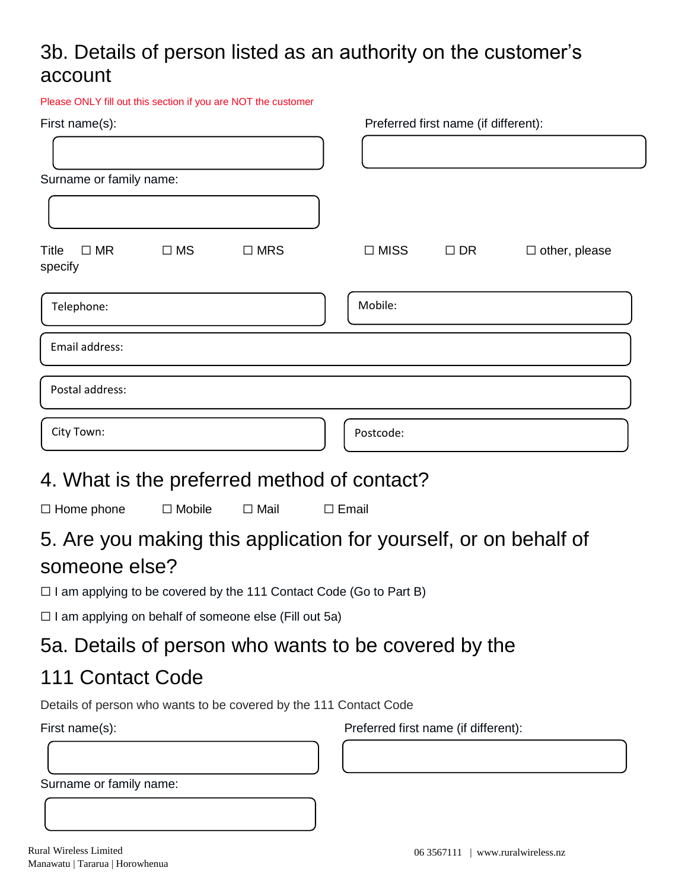## 3b. Details of person listed as an authority on the customer's account

| Preferred first name (if different):                                         |
|------------------------------------------------------------------------------|
|                                                                              |
|                                                                              |
|                                                                              |
|                                                                              |
| $\Box$ MISS<br>$\square$ DR<br>$\Box$ other, please                          |
| Mobile:                                                                      |
|                                                                              |
|                                                                              |
| Postcode:                                                                    |
| 4. What is the preferred method of contact?                                  |
| $\Box$ Email                                                                 |
| 5. Are you making this application for yourself, or on behalf of             |
| $\square$ I am applying to be covered by the 111 Contact Code (Go to Part B) |
| □ I am applying on behalf of someone else (Fill out 5a)                      |
| 5a. Details of person who wants to be covered by the                         |
|                                                                              |
|                                                                              |
| Details of person who wants to be covered by the 111 Contact Code            |
| Preferred first name (if different):                                         |
|                                                                              |
|                                                                              |
|                                                                              |
|                                                                              |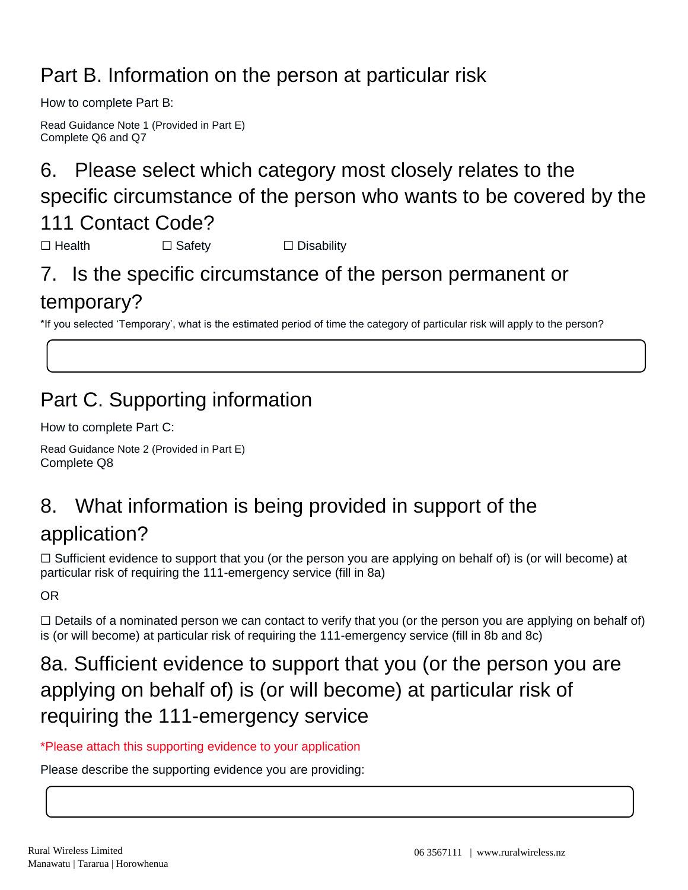## Part B. Information on the person at particular risk

How to complete Part B:

Read Guidance Note 1 (Provided in Part E) Complete Q6 and Q7

## 6. Please select which category most closely relates to the specific circumstance of the person who wants to be covered by the 111 Contact Code?

☐ Health ☐ Safety ☐ Disability

## 7. Is the specific circumstance of the person permanent or temporary?

\*If you selected 'Temporary', what is the estimated period of time the category of particular risk will apply to the person?

## Part C. Supporting information

How to complete Part C:

Read Guidance Note 2 (Provided in Part E) Complete Q8

# 8. What information is being provided in support of the

### application?

 $\Box$  Sufficient evidence to support that you (or the person you are applying on behalf of) is (or will become) at particular risk of requiring the 111-emergency service (fill in 8a)

OR

□ Details of a nominated person we can contact to verify that you (or the person you are applying on behalf of) is (or will become) at particular risk of requiring the 111-emergency service (fill in 8b and 8c)

## 8a. Sufficient evidence to support that you (or the person you are applying on behalf of) is (or will become) at particular risk of requiring the 111-emergency service

#### \*Please attach this supporting evidence to your application

Please describe the supporting evidence you are providing: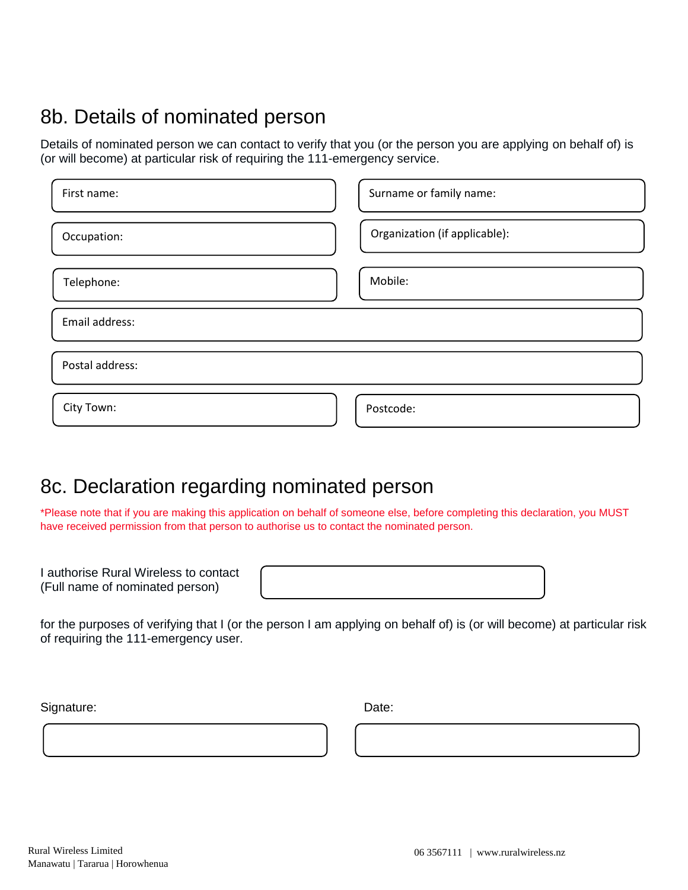## 8b. Details of nominated person

Details of nominated person we can contact to verify that you (or the person you are applying on behalf of) is (or will become) at particular risk of requiring the 111-emergency service.

| First name:     | Surname or family name:       |
|-----------------|-------------------------------|
| Occupation:     | Organization (if applicable): |
| Telephone:      | Mobile:                       |
| Email address:  |                               |
| Postal address: |                               |
| City Town:      | Postcode:                     |

### 8c. Declaration regarding nominated person

\*Please note that if you are making this application on behalf of someone else, before completing this declaration, you MUST have received permission from that person to authorise us to contact the nominated person.

I authorise Rural Wireless to contact (Full name of nominated person)

for the purposes of verifying that I (or the person I am applying on behalf of) is (or will become) at particular risk of requiring the 111-emergency user.

Signature: Date: Date: Date: Date: Date: Date: Date: Date: Date: Date: Date: Date: Date: Date: Date: Date: Date: Date: Date: Date: Date: Date: Date: Date: Date: Date: Date: Date: Date: Date: Date: Date: Date: Date: Date: D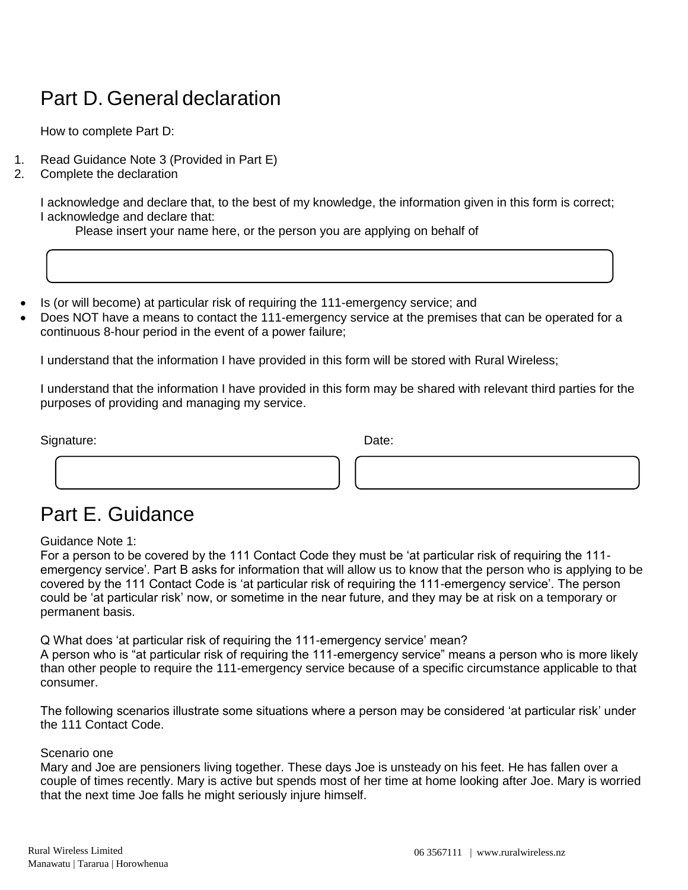## Part D. General declaration

How to complete Part D:

- 1. Read Guidance Note 3 (Provided in Part E)
- 2. Complete the declaration

I acknowledge and declare that, to the best of my knowledge, the information given in this form is correct; I acknowledge and declare that:

Please insert your name here, or the person you are applying on behalf of

- Is (or will become) at particular risk of requiring the 111-emergency service; and
- Does NOT have a means to contact the 111-emergency service at the premises that can be operated for a continuous 8-hour period in the event of a power failure;

I understand that the information I have provided in this form will be stored with Rural Wireless;

I understand that the information I have provided in this form may be shared with relevant third parties for the purposes of providing and managing my service.

Signature: Date: Date: Date: Date: Date: Date: Date: Date: Date: Date: Date: Date: Date: Date: Date: Date: Date: Date: Date: Date: Date: Date: Date: Date: Date: Date: Date: Date: Date: Date: Date: Date: Date: Date: Date: D

## Part E. Guidance

Guidance Note 1:

For a person to be covered by the 111 Contact Code they must be 'at particular risk of requiring the 111 emergency service'. Part B asks for information that will allow us to know that the person who is applying to be covered by the 111 Contact Code is 'at particular risk of requiring the 111-emergency service'. The person could be 'at particular risk' now, or sometime in the near future, and they may be at risk on a temporary or permanent basis.

Q What does 'at particular risk of requiring the 111-emergency service' mean?

A person who is "at particular risk of requiring the 111-emergency service" means a person who is more likely than other people to require the 111-emergency service because of a specific circumstance applicable to that consumer.

The following scenarios illustrate some situations where a person may be considered 'at particular risk' under the 111 Contact Code.

#### Scenario one

Mary and Joe are pensioners living together. These days Joe is unsteady on his feet. He has fallen over a couple of times recently. Mary is active but spends most of her time at home looking after Joe. Mary is worried that the next time Joe falls he might seriously injure himself.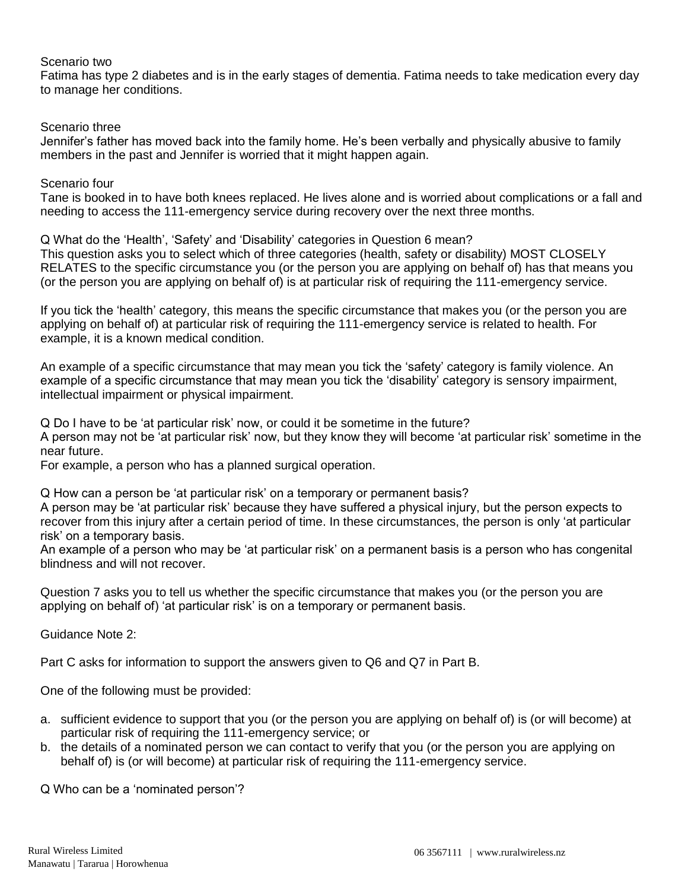#### Scenario two

Fatima has type 2 diabetes and is in the early stages of dementia. Fatima needs to take medication every day to manage her conditions.

#### Scenario three

Jennifer's father has moved back into the family home. He's been verbally and physically abusive to family members in the past and Jennifer is worried that it might happen again.

#### Scenario four

Tane is booked in to have both knees replaced. He lives alone and is worried about complications or a fall and needing to access the 111-emergency service during recovery over the next three months.

Q What do the 'Health', 'Safety' and 'Disability' categories in Question 6 mean?

This question asks you to select which of three categories (health, safety or disability) MOST CLOSELY RELATES to the specific circumstance you (or the person you are applying on behalf of) has that means you (or the person you are applying on behalf of) is at particular risk of requiring the 111-emergency service.

If you tick the 'health' category, this means the specific circumstance that makes you (or the person you are applying on behalf of) at particular risk of requiring the 111-emergency service is related to health. For example, it is a known medical condition.

An example of a specific circumstance that may mean you tick the 'safety' category is family violence. An example of a specific circumstance that may mean you tick the 'disability' category is sensory impairment, intellectual impairment or physical impairment.

Q Do I have to be 'at particular risk' now, or could it be sometime in the future?

A person may not be 'at particular risk' now, but they know they will become 'at particular risk' sometime in the near future.

For example, a person who has a planned surgical operation.

Q How can a person be 'at particular risk' on a temporary or permanent basis?

A person may be 'at particular risk' because they have suffered a physical injury, but the person expects to recover from this injury after a certain period of time. In these circumstances, the person is only 'at particular risk' on a temporary basis.

An example of a person who may be 'at particular risk' on a permanent basis is a person who has congenital blindness and will not recover.

Question 7 asks you to tell us whether the specific circumstance that makes you (or the person you are applying on behalf of) 'at particular risk' is on a temporary or permanent basis.

Guidance Note 2:

Part C asks for information to support the answers given to Q6 and Q7 in Part B.

One of the following must be provided:

- a. sufficient evidence to support that you (or the person you are applying on behalf of) is (or will become) at particular risk of requiring the 111-emergency service; or
- b. the details of a nominated person we can contact to verify that you (or the person you are applying on behalf of) is (or will become) at particular risk of requiring the 111-emergency service.

Q Who can be a 'nominated person'?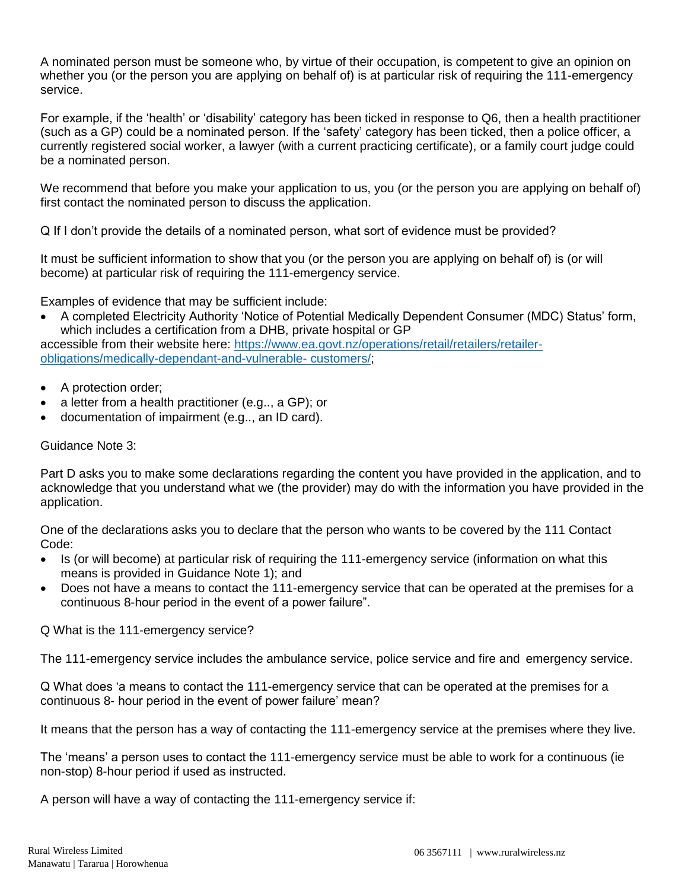A nominated person must be someone who, by virtue of their occupation, is competent to give an opinion on whether you (or the person you are applying on behalf of) is at particular risk of requiring the 111-emergency service.

For example, if the 'health' or 'disability' category has been ticked in response to Q6, then a health practitioner (such as a GP) could be a nominated person. If the 'safety' category has been ticked, then a police officer, a currently registered social worker, a lawyer (with a current practicing certificate), or a family court judge could be a nominated person.

We recommend that before you make your application to us, you (or the person you are applying on behalf of) first contact the nominated person to discuss the application.

Q If I don't provide the details of a nominated person, what sort of evidence must be provided?

It must be sufficient information to show that you (or the person you are applying on behalf of) is (or will become) at particular risk of requiring the 111-emergency service.

Examples of evidence that may be sufficient include:

 A completed Electricity Authority 'Notice of Potential Medically Dependent Consumer (MDC) Status' form, which includes a certification from a DHB, private hospital or GP

accessible from their website here: [https://www.ea.govt.nz/operations/retail/retailers/retailer](https://www.ea.govt.nz/operations/retail/retailers/retailer-obligations/medically-dependant-and-vulnerable-%20customers/)[obligations/medically-dependant-and-vulnerable-](https://www.ea.govt.nz/operations/retail/retailers/retailer-obligations/medically-dependant-and-vulnerable-%20customers/) customers/;

- A protection order;
- a letter from a health practitioner (e.g.., a GP); or
- documentation of impairment (e.g.., an ID card).

Guidance Note 3:

Part D asks you to make some declarations regarding the content you have provided in the application, and to acknowledge that you understand what we (the provider) may do with the information you have provided in the application.

One of the declarations asks you to declare that the person who wants to be covered by the 111 Contact Code:

- Is (or will become) at particular risk of requiring the 111-emergency service (information on what this means is provided in Guidance Note 1); and
- Does not have a means to contact the 111-emergency service that can be operated at the premises for a continuous 8-hour period in the event of a power failure".

Q What is the 111-emergency service?

The 111-emergency service includes the ambulance service, police service and fire and emergency service.

Q What does 'a means to contact the 111-emergency service that can be operated at the premises for a continuous 8- hour period in the event of power failure' mean?

It means that the person has a way of contacting the 111-emergency service at the premises where they live.

The 'means' a person uses to contact the 111-emergency service must be able to work for a continuous (ie non-stop) 8-hour period if used as instructed.

A person will have a way of contacting the 111-emergency service if: